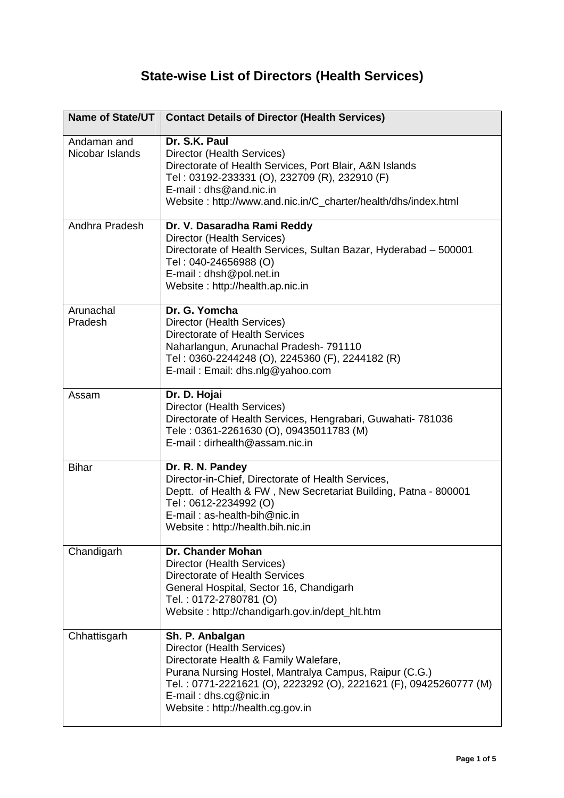## **State-wise List of Directors (Health Services)**

| Name of State/UT               | <b>Contact Details of Director (Health Services)</b>                                                                                                                                                                                                                                  |
|--------------------------------|---------------------------------------------------------------------------------------------------------------------------------------------------------------------------------------------------------------------------------------------------------------------------------------|
| Andaman and<br>Nicobar Islands | Dr. S.K. Paul<br>Director (Health Services)<br>Directorate of Health Services, Port Blair, A&N Islands<br>Tel: 03192-233331 (O), 232709 (R), 232910 (F)<br>$E$ -mail: dhs@and.nic.in<br>Website: http://www.and.nic.in/C_charter/health/dhs/index.html                                |
| Andhra Pradesh                 | Dr. V. Dasaradha Rami Reddy<br>Director (Health Services)<br>Directorate of Health Services, Sultan Bazar, Hyderabad - 500001<br>Tel: 040-24656988 (O)<br>E-mail: dhsh@pol.net.in<br>Website: http://health.ap.nic.in                                                                 |
| Arunachal<br>Pradesh           | Dr. G. Yomcha<br>Director (Health Services)<br>Directorate of Health Services<br>Naharlangun, Arunachal Pradesh-791110<br>Tel: 0360-2244248 (O), 2245360 (F), 2244182 (R)<br>E-mail: Email: dhs.nlg@yahoo.com                                                                         |
| Assam                          | Dr. D. Hojai<br>Director (Health Services)<br>Directorate of Health Services, Hengrabari, Guwahati- 781036<br>Tele: 0361-2261630 (O), 09435011783 (M)<br>E-mail: dirhealth@assam.nic.in                                                                                               |
| <b>Bihar</b>                   | Dr. R. N. Pandey<br>Director-in-Chief, Directorate of Health Services,<br>Deptt. of Health & FW, New Secretariat Building, Patna - 800001<br>Tel: 0612-2234992 (O)<br>E-mail: as-health-bih@nic.in<br>Website: http://health.bih.nic.in                                               |
| Chandigarh                     | <b>Dr. Chander Mohan</b><br>Director (Health Services)<br>Directorate of Health Services<br>General Hospital, Sector 16, Chandigarh<br>Tel.: 0172-2780781 (O)<br>Website: http://chandigarh.gov.in/dept_hlt.htm                                                                       |
| Chhattisgarh                   | Sh. P. Anbalgan<br>Director (Health Services)<br>Directorate Health & Family Walefare,<br>Purana Nursing Hostel, Mantralya Campus, Raipur (C.G.)<br>Tel.: 0771-2221621 (O), 2223292 (O), 2221621 (F), 09425260777 (M)<br>$E$ -mail: dhs.cg@nic.in<br>Website: http://health.cg.gov.in |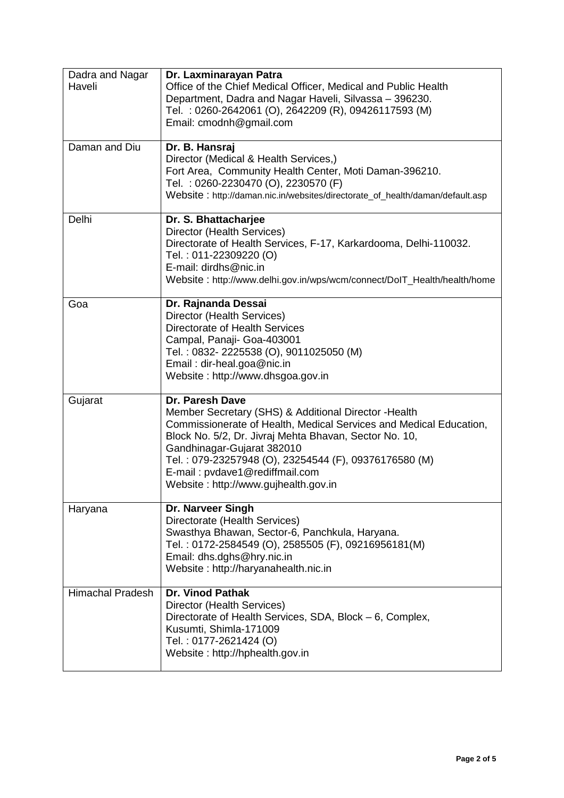| Dadra and Nagar<br>Haveli | Dr. Laxminarayan Patra<br>Office of the Chief Medical Officer, Medical and Public Health<br>Department, Dadra and Nagar Haveli, Silvassa - 396230.<br>Tel.: 0260-2642061 (O), 2642209 (R), 09426117593 (M)<br>Email: cmodnh@gmail.com                                                                                                                                            |
|---------------------------|----------------------------------------------------------------------------------------------------------------------------------------------------------------------------------------------------------------------------------------------------------------------------------------------------------------------------------------------------------------------------------|
| Daman and Diu             | Dr. B. Hansraj<br>Director (Medical & Health Services,)<br>Fort Area, Community Health Center, Moti Daman-396210.<br>Tel.: 0260-2230470 (O), 2230570 (F)<br>Website: http://daman.nic.in/websites/directorate_of_health/daman/default.asp                                                                                                                                        |
| Delhi                     | Dr. S. Bhattacharjee<br>Director (Health Services)<br>Directorate of Health Services, F-17, Karkardooma, Delhi-110032.<br>Tel.: 011-22309220 (O)<br>E-mail: dirdhs@nic.in<br>Website: http://www.delhi.gov.in/wps/wcm/connect/DoIT_Health/health/home                                                                                                                            |
| Goa                       | Dr. Rajnanda Dessai<br>Director (Health Services)<br>Directorate of Health Services<br>Campal, Panaji- Goa-403001<br>Tel.: 0832-2225538 (O), 9011025050 (M)<br>Email: dir-heal.goa@nic.in<br>Website: http://www.dhsgoa.gov.in                                                                                                                                                   |
| Gujarat                   | <b>Dr. Paresh Dave</b><br>Member Secretary (SHS) & Additional Director - Health<br>Commissionerate of Health, Medical Services and Medical Education,<br>Block No. 5/2, Dr. Jivraj Mehta Bhavan, Sector No. 10,<br>Gandhinagar-Gujarat 382010<br>Tel.: 079-23257948 (O), 23254544 (F), 09376176580 (M)<br>E-mail: pvdave1@rediffmail.com<br>Website: http://www.gujhealth.gov.in |
| Haryana                   | Dr. Narveer Singh<br>Directorate (Health Services)<br>Swasthya Bhawan, Sector-6, Panchkula, Haryana.<br>Tel.: 0172-2584549 (O), 2585505 (F), 09216956181(M)<br>Email: dhs.dghs@hry.nic.in<br>Website: http://haryanahealth.nic.in                                                                                                                                                |
| <b>Himachal Pradesh</b>   | <b>Dr. Vinod Pathak</b><br>Director (Health Services)<br>Directorate of Health Services, SDA, Block - 6, Complex,<br>Kusumti, Shimla-171009<br>Tel.: 0177-2621424 (O)<br>Website: http://hphealth.gov.in                                                                                                                                                                         |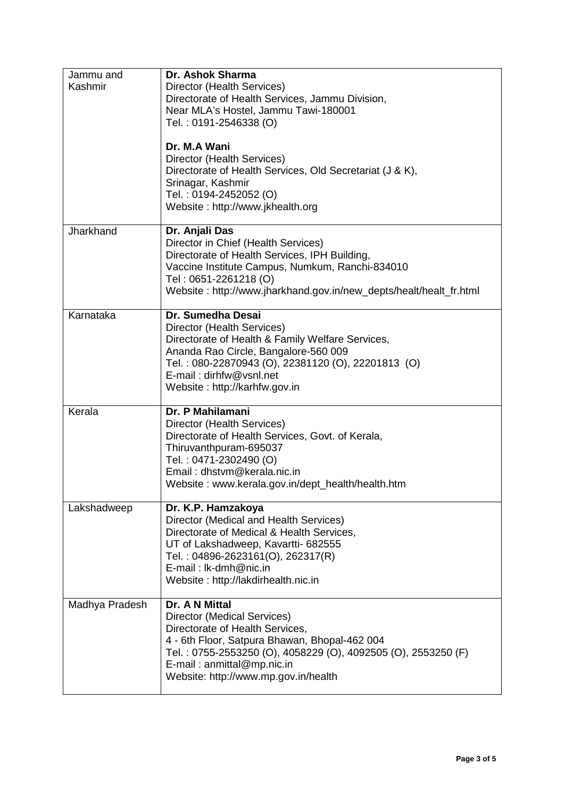| Jammu and<br>Kashmir | Dr. Ashok Sharma<br>Director (Health Services)<br>Directorate of Health Services, Jammu Division,<br>Near MLA's Hostel, Jammu Tawi-180001<br>Tel.: 0191-2546338 (O)<br>Dr. M.A Wani<br>Director (Health Services)<br>Directorate of Health Services, Old Secretariat (J & K),<br>Srinagar, Kashmir<br>Tel.: 0194-2452052 (O)<br>Website: http://www.jkhealth.org |
|----------------------|------------------------------------------------------------------------------------------------------------------------------------------------------------------------------------------------------------------------------------------------------------------------------------------------------------------------------------------------------------------|
| Jharkhand            | Dr. Anjali Das<br>Director in Chief (Health Services)<br>Directorate of Health Services, IPH Building,<br>Vaccine Institute Campus, Numkum, Ranchi-834010<br>Tel: 0651-2261218 (O)<br>Website: http://www.jharkhand.gov.in/new_depts/healt/healt_fr.html                                                                                                         |
| Karnataka            | Dr. Sumedha Desai<br>Director (Health Services)<br>Directorate of Health & Family Welfare Services,<br>Ananda Rao Circle, Bangalore-560 009<br>Tel.: 080-22870943 (O), 22381120 (O), 22201813 (O)<br>E-mail: dirhfw@vsnl.net<br>Website: http://karhfw.gov.in                                                                                                    |
| Kerala               | Dr. P Mahilamani<br>Director (Health Services)<br>Directorate of Health Services, Govt. of Kerala,<br>Thiruvanthpuram-695037<br>Tel.: 0471-2302490 (O)<br>Email: dhstvm@kerala.nic.in<br>Website: www.kerala.gov.in/dept_health/health.htm                                                                                                                       |
| Lakshadweep          | Dr. K.P. Hamzakoya<br>Director (Medical and Health Services)<br>Directorate of Medical & Health Services,<br>UT of Lakshadweep, Kavartti- 682555<br>Tel.: 04896-2623161(O), 262317(R)<br>E-mail: lk-dmh@nic.in<br>Website: http://lakdirhealth.nic.in                                                                                                            |
| Madhya Pradesh       | Dr. A N Mittal<br>Director (Medical Services)<br>Directorate of Health Services,<br>4 - 6th Floor, Satpura Bhawan, Bhopal-462 004<br>Tel.: 0755-2553250 (O), 4058229 (O), 4092505 (O), 2553250 (F)<br>E-mail: anmittal@mp.nic.in<br>Website: http://www.mp.gov.in/health                                                                                         |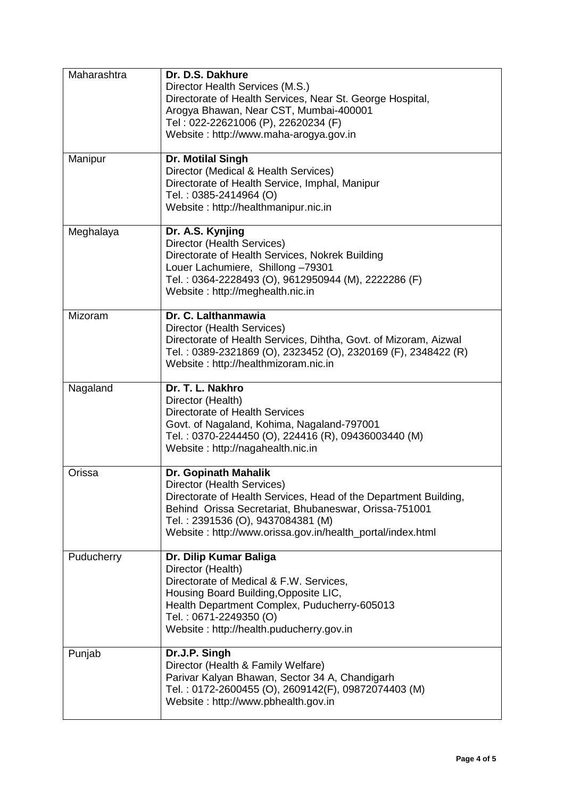| Maharashtra | Dr. D.S. Dakhure<br>Director Health Services (M.S.)<br>Directorate of Health Services, Near St. George Hospital,<br>Arogya Bhawan, Near CST, Mumbai-400001<br>Tel: 022-22621006 (P), 22620234 (F)<br>Website: http://www.maha-arogya.gov.in                                        |
|-------------|------------------------------------------------------------------------------------------------------------------------------------------------------------------------------------------------------------------------------------------------------------------------------------|
| Manipur     | Dr. Motilal Singh<br>Director (Medical & Health Services)<br>Directorate of Health Service, Imphal, Manipur<br>Tel.: 0385-2414964 (O)<br>Website: http://healthmanipur.nic.in                                                                                                      |
| Meghalaya   | Dr. A.S. Kynjing<br>Director (Health Services)<br>Directorate of Health Services, Nokrek Building<br>Louer Lachumiere, Shillong -79301<br>Tel.: 0364-2228493 (O), 9612950944 (M), 2222286 (F)<br>Website: http://meghealth.nic.in                                                  |
| Mizoram     | Dr. C. Lalthanmawia<br>Director (Health Services)<br>Directorate of Health Services, Dihtha, Govt. of Mizoram, Aizwal<br>Tel.: 0389-2321869 (O), 2323452 (O), 2320169 (F), 2348422 (R)<br>Website: http://healthmizoram.nic.in                                                     |
| Nagaland    | Dr. T. L. Nakhro<br>Director (Health)<br>Directorate of Health Services<br>Govt. of Nagaland, Kohima, Nagaland-797001<br>Tel.: 0370-2244450 (O), 224416 (R), 09436003440 (M)<br>Website: http://nagahealth.nic.in                                                                  |
| Orissa      | Dr. Gopinath Mahalik<br>Director (Health Services)<br>Directorate of Health Services, Head of the Department Building,<br>Behind Orissa Secretariat, Bhubaneswar, Orissa-751001<br>Tel.: 2391536 (O), 9437084381 (M)<br>Website: http://www.orissa.gov.in/health_portal/index.html |
| Puducherry  | Dr. Dilip Kumar Baliga<br>Director (Health)<br>Directorate of Medical & F.W. Services,<br>Housing Board Building, Opposite LIC,<br>Health Department Complex, Puducherry-605013<br>Tel.: 0671-2249350 (O)<br>Website: http://health.puducherry.gov.in                              |
| Punjab      | Dr.J.P. Singh<br>Director (Health & Family Welfare)<br>Parivar Kalyan Bhawan, Sector 34 A, Chandigarh<br>Tel.: 0172-2600455 (O), 2609142(F), 09872074403 (M)<br>Website: http://www.pbhealth.gov.in                                                                                |